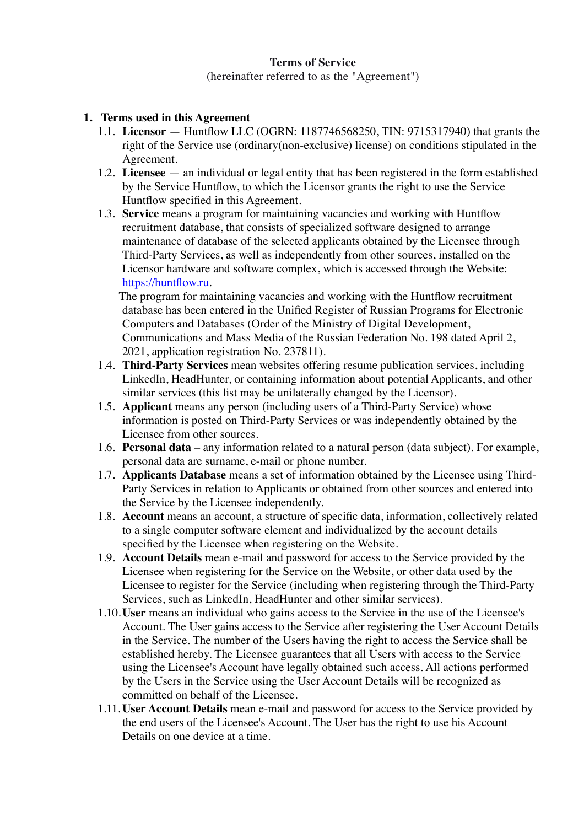#### **Terms of Service**

(hereinafter referred to as the "Agreement")

#### **1. Terms used in this Agreement**

- 1.1. **Licensor** Huntflow LLC (OGRN: 1187746568250, TIN: 9715317940) that grants the right of the Service use (ordinary(non-exclusive) license) on conditions stipulated in the Agreement.
- 1.2. **Licensee** an individual or legal entity that has been registered in the form established by the Service Huntflow, to which the Licensor grants the right to use the Service Huntflow specified in this Agreement.
- 1.3. **Service** means a program for maintaining vacancies and working with Huntflow recruitment database, that consists of specialized software designed to arrange maintenance of database of the selected applicants obtained by the Licensee through Third-Party Services, as well as independently from other sources, installed on the Licensor hardware and software complex, which is accessed through the Website: [https://huntflow.ru.](https://huntflow.ru)

The program for maintaining vacancies and working with the Huntflow recruitment database has been entered in the Unified Register of Russian Programs for Electronic Computers and Databases (Order of the Ministry of Digital Development, Communications and Mass Media of the Russian Federation No. 198 dated April 2, 2021, application registration No. 237811).

- 1.4. **Third-Party Services** mean websites offering resume publication services, including LinkedIn, HeadHunter, or containing information about potential Applicants, and other similar services (this list may be unilaterally changed by the Licensor).
- 1.5. **Applicant** means any person (including users of a Third-Party Service) whose information is posted on Third-Party Services or was independently obtained by the Licensee from other sources.
- 1.6. **Personal data** any information related to a natural person (data subject). For example, personal data are surname, e-mail or phone number.
- 1.7. **Applicants Database** means a set of information obtained by the Licensee using Third-Party Services in relation to Applicants or obtained from other sources and entered into the Service by the Licensee independently.
- 1.8. **Account** means an account, a structure of specific data, information, collectively related to a single computer software element and individualized by the account details specified by the Licensee when registering on the Website.
- 1.9. **Account Details** mean e-mail and password for access to the Service provided by the Licensee when registering for the Service on the Website, or other data used by the Licensee to register for the Service (including when registering through the Third-Party Services, such as LinkedIn, HeadHunter and other similar services).
- 1.10.**User** means an individual who gains access to the Service in the use of the Licensee's Account. The User gains access to the Service after registering the User Account Details in the Service. The number of the Users having the right to access the Service shall be established hereby. The Licensee guarantees that all Users with access to the Service using the Licensee's Account have legally obtained such access. All actions performed by the Users in the Service using the User Account Details will be recognized as committed on behalf of the Licensee.
- 1.11. **User Account Details** mean e-mail and password for access to the Service provided by the end users of the Licensee's Account. The User has the right to use his Account Details on one device at a time.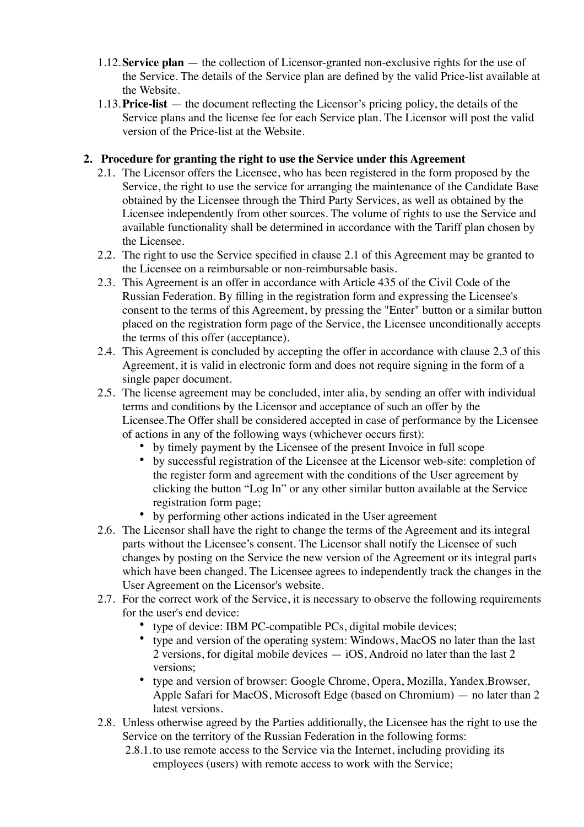- 1.12.**Service plan** the collection of Licensor-granted non-exclusive rights for the use of the Service. The details of the Service plan are defined by the valid Price-list available at the Website.
- 1.13.**Price-list** the document reflecting the Licensor's pricing policy, the details of the Service plans and the license fee for each Service plan. The Licensor will post the valid version of the Price-list at the Website.

### **2. Procedure for granting the right to use the Service under this Agreement**

- 2.1. The Licensor offers the Licensee, who has been registered in the form proposed by the Service, the right to use the service for arranging the maintenance of the Candidate Base obtained by the Licensee through the Third Party Services, as well as obtained by the Licensee independently from other sources. The volume of rights to use the Service and available functionality shall be determined in accordance with the Tariff plan chosen by the Licensee.
- 2.2. The right to use the Service specified in clause 2.1 of this Agreement may be granted to the Licensee on a reimbursable or non-reimbursable basis.
- 2.3. This Agreement is an offer in accordance with Article 435 of the Civil Code of the Russian Federation. By filling in the registration form and expressing the Licensee's consent to the terms of this Agreement, by pressing the "Enter" button or a similar button placed on the registration form page of the Service, the Licensee unconditionally accepts the terms of this offer (acceptance).
- 2.4. This Agreement is concluded by accepting the offer in accordance with clause 2.3 of this Agreement, it is valid in electronic form and does not require signing in the form of a single paper document.
- 2.5. The license agreement may be concluded, inter alia, by sending an offer with individual terms and conditions by the Licensor and acceptance of such an offer by the Licensee.The Offer shall be considered accepted in case of performance by the Licensee of actions in any of the following ways (whichever occurs first):
	- by timely payment by the Licensee of the present Invoice in full scope
	- by successful registration of the Licensee at the Licensor web-site: completion of the register form and agreement with the conditions of the User agreement by clicking the button "Log In" or any other similar button available at the Service registration form page;
	- by performing other actions indicated in the User agreement
- 2.6. The Licensor shall have the right to change the terms of the Agreement and its integral parts without the Licensee's consent. The Licensor shall notify the Licensee of such changes by posting on the Service the new version of the Agreement or its integral parts which have been changed. The Licensee agrees to independently track the changes in the User Agreement on the Licensor's website.
- 2.7. For the correct work of the Service, it is necessary to observe the following requirements for the user's end device:
	- type of device: IBM PC-compatible PCs, digital mobile devices;
	- type and version of the operating system: Windows, MacOS no later than the last 2 versions, for digital mobile devices — iOS, Android no later than the last 2 versions;
	- type and version of browser: Google Chrome, Opera, Mozilla, Yandex.Browser, Apple Safari for MacOS, Microsoft Edge (based on Chromium) — no later than 2 latest versions.
- 2.8. Unless otherwise agreed by the Parties additionally, the Licensee has the right to use the Service on the territory of the Russian Federation in the following forms:
	- 2.8.1.to use remote access to the Service via the Internet, including providing its employees (users) with remote access to work with the Service;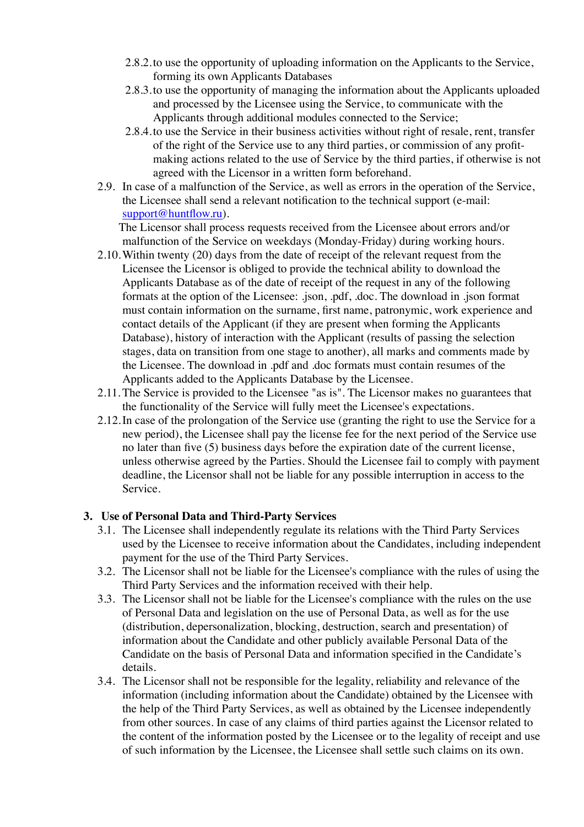- 2.8.2.to use the opportunity of uploading information on the Applicants to the Service, forming its own Applicants Databases
- 2.8.3.to use the opportunity of managing the information about the Applicants uploaded and processed by the Licensee using the Service, to communicate with the Applicants through additional modules connected to the Service;
- 2.8.4.to use the Service in their business activities without right of resale, rent, transfer of the right of the Service use to any third parties, or commission of any profitmaking actions related to the use of Service by the third parties, if otherwise is not agreed with the Licensor in a written form beforehand.
- 2.9. In case of a malfunction of the Service, as well as errors in the operation of the Service, the Licensee shall send a relevant notification to the technical support (e-mail: [support@huntflow.ru\)](mailto:support@huntflow.ru).

The Licensor shall process requests received from the Licensee about errors and/or malfunction of the Service on weekdays (Monday-Friday) during working hours.

- 2.10.Within twenty (20) days from the date of receipt of the relevant request from the Licensee the Licensor is obliged to provide the technical ability to download the Applicants Database as of the date of receipt of the request in any of the following formats at the option of the Licensee: .json, .pdf, .doc. The download in .json format must contain information on the surname, first name, patronymic, work experience and contact details of the Applicant (if they are present when forming the Applicants Database), history of interaction with the Applicant (results of passing the selection stages, data on transition from one stage to another), all marks and comments made by the Licensee. The download in .pdf and .doc formats must contain resumes of the Applicants added to the Applicants Database by the Licensee.
- 2.11. The Service is provided to the Licensee "as is". The Licensor makes no guarantees that the functionality of the Service will fully meet the Licensee's expectations.
- 2.12.In case of the prolongation of the Service use (granting the right to use the Service for a new period), the Licensee shall pay the license fee for the next period of the Service use no later than five (5) business days before the expiration date of the current license, unless otherwise agreed by the Parties. Should the Licensee fail to comply with payment deadline, the Licensor shall not be liable for any possible interruption in access to the Service.

#### **3. Use of Personal Data and Third-Party Services**

- 3.1. The Licensee shall independently regulate its relations with the Third Party Services used by the Licensee to receive information about the Candidates, including independent payment for the use of the Third Party Services.
- 3.2. The Licensor shall not be liable for the Licensee's compliance with the rules of using the Third Party Services and the information received with their help.
- 3.3. The Licensor shall not be liable for the Licensee's compliance with the rules on the use of Personal Data and legislation on the use of Personal Data, as well as for the use (distribution, depersonalization, blocking, destruction, search and presentation) of information about the Candidate and other publicly available Personal Data of the Candidate on the basis of Personal Data and information specified in the Candidate's details.
- 3.4. The Licensor shall not be responsible for the legality, reliability and relevance of the information (including information about the Candidate) obtained by the Licensee with the help of the Third Party Services, as well as obtained by the Licensee independently from other sources. In case of any claims of third parties against the Licensor related to the content of the information posted by the Licensee or to the legality of receipt and use of such information by the Licensee, the Licensee shall settle such claims on its own.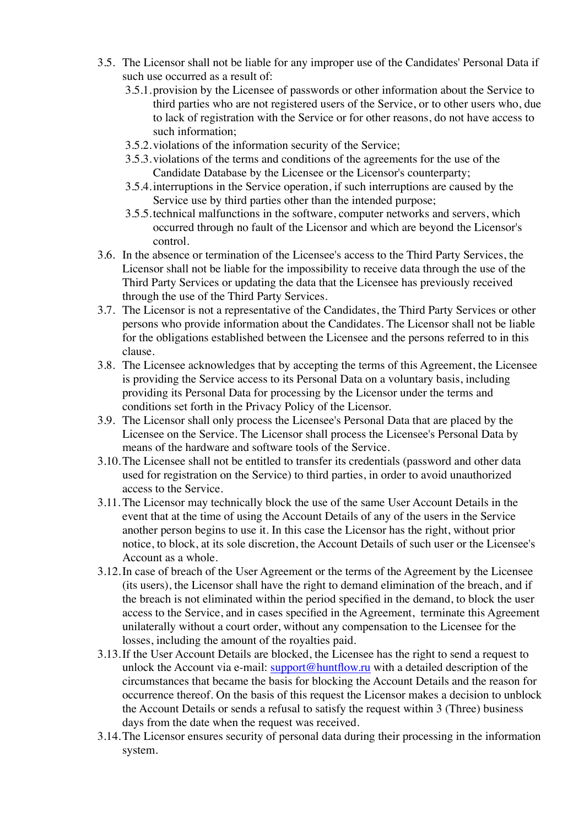- 3.5. The Licensor shall not be liable for any improper use of the Candidates' Personal Data if such use occurred as a result of:
	- 3.5.1.provision by the Licensee of passwords or other information about the Service to third parties who are not registered users of the Service, or to other users who, due to lack of registration with the Service or for other reasons, do not have access to such information;
	- 3.5.2.violations of the information security of the Service;
	- 3.5.3.violations of the terms and conditions of the agreements for the use of the Candidate Database by the Licensee or the Licensor's counterparty;
	- 3.5.4.interruptions in the Service operation, if such interruptions are caused by the Service use by third parties other than the intended purpose;
	- 3.5.5.technical malfunctions in the software, computer networks and servers, which occurred through no fault of the Licensor and which are beyond the Licensor's control.
- 3.6. In the absence or termination of the Licensee's access to the Third Party Services, the Licensor shall not be liable for the impossibility to receive data through the use of the Third Party Services or updating the data that the Licensee has previously received through the use of the Third Party Services.
- 3.7. The Licensor is not a representative of the Candidates, the Third Party Services or other persons who provide information about the Candidates. The Licensor shall not be liable for the obligations established between the Licensee and the persons referred to in this clause.
- 3.8. The Licensee acknowledges that by accepting the terms of this Agreement, the Licensee is providing the Service access to its Personal Data on a voluntary basis, including providing its Personal Data for processing by the Licensor under the terms and conditions set forth in the Privacy Policy of the Licensor.
- 3.9. The Licensor shall only process the Licensee's Personal Data that are placed by the Licensee on the Service. The Licensor shall process the Licensee's Personal Data by means of the hardware and software tools of the Service.
- 3.10.The Licensee shall not be entitled to transfer its credentials (password and other data used for registration on the Service) to third parties, in order to avoid unauthorized access to the Service.
- 3.11. The Licensor may technically block the use of the same User Account Details in the event that at the time of using the Account Details of any of the users in the Service another person begins to use it. In this case the Licensor has the right, without prior notice, to block, at its sole discretion, the Account Details of such user or the Licensee's Account as a whole.
- 3.12.In case of breach of the User Agreement or the terms of the Agreement by the Licensee (its users), the Licensor shall have the right to demand elimination of the breach, and if the breach is not eliminated within the period specified in the demand, to block the user access to the Service, and in cases specified in the Agreement, terminate this Agreement unilaterally without a court order, without any compensation to the Licensee for the losses, including the amount of the royalties paid.
- 3.13.If the User Account Details are blocked, the Licensee has the right to send a request to unlock the Account via e-mail: [support@huntflow.ru](mailto:support@huntflow.ru) with a detailed description of the circumstances that became the basis for blocking the Account Details and the reason for occurrence thereof. On the basis of this request the Licensor makes a decision to unblock the Account Details or sends a refusal to satisfy the request within 3 (Three) business days from the date when the request was received.
- 3.14.The Licensor ensures security of personal data during their processing in the information system.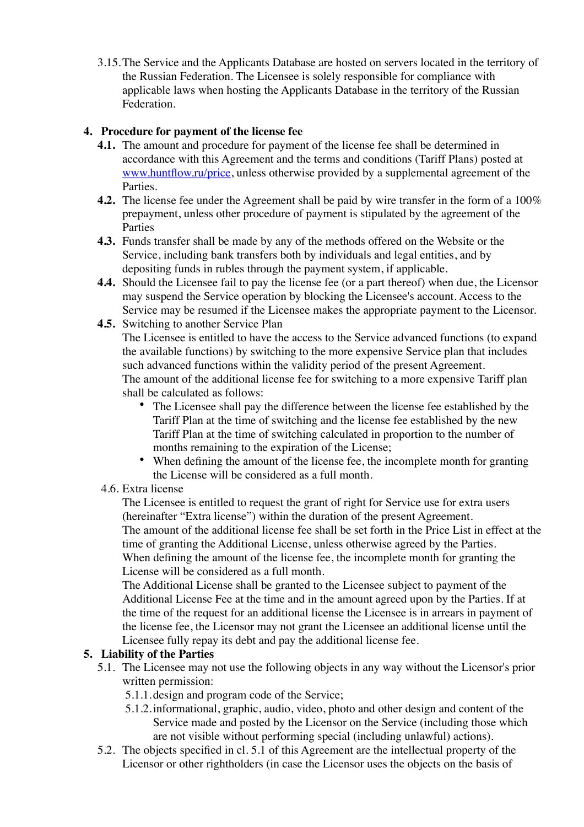3.15.The Service and the Applicants Database are hosted on servers located in the territory of the Russian Federation. The Licensee is solely responsible for compliance with applicable laws when hosting the Applicants Database in the territory of the Russian Federation.

## **4. Procedure for payment of the license fee**

- **4.1.** The amount and procedure for payment of the license fee shall be determined in accordance with this Agreement and the terms and conditions (Tariff Plans) posted at [www.huntflow.ru/price](http://www.huntflow.ru/price), unless otherwise provided by a supplemental agreement of the Parties.
- **4.2.** The license fee under the Agreement shall be paid by wire transfer in the form of a 100% prepayment, unless other procedure of payment is stipulated by the agreement of the Parties
- **4.3.** Funds transfer shall be made by any of the methods offered on the Website or the Service, including bank transfers both by individuals and legal entities, and by depositing funds in rubles through the payment system, if applicable.
- **4.4.** Should the Licensee fail to pay the license fee (or a part thereof) when due, the Licensor may suspend the Service operation by blocking the Licensee's account. Access to the Service may be resumed if the Licensee makes the appropriate payment to the Licensor.
- **4.5.** Switching to another Service Plan The Licensee is entitled to have the access to the Service advanced functions (to expand the available functions) by switching to the more expensive Service plan that includes such advanced functions within the validity period of the present Agreement. The amount of the additional license fee for switching to a more expensive Tariff plan shall be calculated as follows:
	- The Licensee shall pay the difference between the license fee established by the Tariff Plan at the time of switching and the license fee established by the new Tariff Plan at the time of switching calculated in proportion to the number of months remaining to the expiration of the License;
	- When defining the amount of the license fee, the incomplete month for granting the License will be considered as a full month.
- 4.6. Extra license

The Licensee is entitled to request the grant of right for Service use for extra users (hereinafter "Extra license") within the duration of the present Agreement. The amount of the additional license fee shall be set forth in the Price List in effect at the time of granting the Additional License, unless otherwise agreed by the Parties. When defining the amount of the license fee, the incomplete month for granting the License will be considered as a full month.

The Additional License shall be granted to the Licensee subject to payment of the Additional License Fee at the time and in the amount agreed upon by the Parties. If at the time of the request for an additional license the Licensee is in arrears in payment of the license fee, the Licensor may not grant the Licensee an additional license until the Licensee fully repay its debt and pay the additional license fee.

# **5. Liability of the Parties**

- 5.1. The Licensee may not use the following objects in any way without the Licensor's prior written permission:
	- 5.1.1.design and program code of the Service;
	- 5.1.2.informational, graphic, audio, video, photo and other design and content of the Service made and posted by the Licensor on the Service (including those which are not visible without performing special (including unlawful) actions).
- 5.2. The objects specified in cl. 5.1 of this Agreement are the intellectual property of the Licensor or other rightholders (in case the Licensor uses the objects on the basis of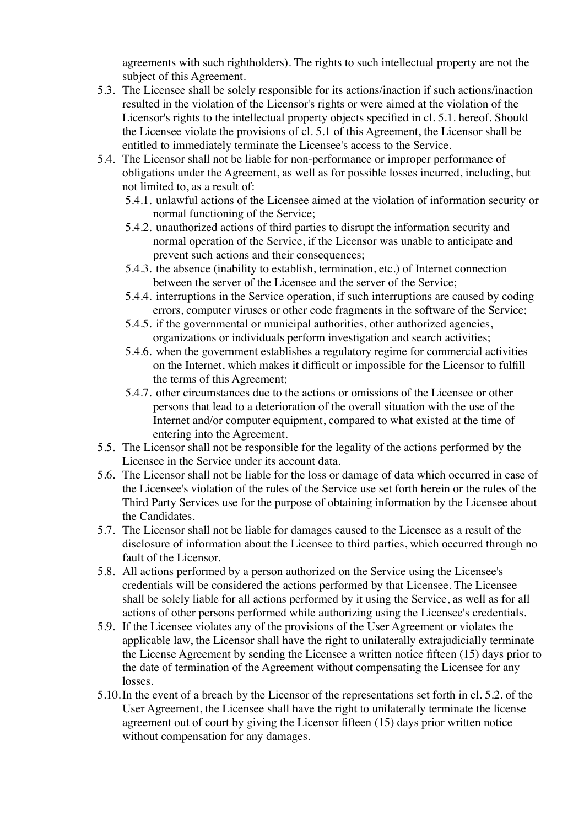agreements with such rightholders). The rights to such intellectual property are not the subject of this Agreement.

- 5.3. The Licensee shall be solely responsible for its actions/inaction if such actions/inaction resulted in the violation of the Licensor's rights or were aimed at the violation of the Licensor's rights to the intellectual property objects specified in cl. 5.1. hereof. Should the Licensee violate the provisions of cl. 5.1 of this Agreement, the Licensor shall be entitled to immediately terminate the Licensee's access to the Service.
- 5.4. The Licensor shall not be liable for non-performance or improper performance of obligations under the Agreement, as well as for possible losses incurred, including, but not limited to, as a result of:
	- 5.4.1. unlawful actions of the Licensee aimed at the violation of information security or normal functioning of the Service;
	- 5.4.2. unauthorized actions of third parties to disrupt the information security and normal operation of the Service, if the Licensor was unable to anticipate and prevent such actions and their consequences;
	- 5.4.3. the absence (inability to establish, termination, etc.) of Internet connection between the server of the Licensee and the server of the Service;
	- 5.4.4. interruptions in the Service operation, if such interruptions are caused by coding errors, computer viruses or other code fragments in the software of the Service;
	- 5.4.5. if the governmental or municipal authorities, other authorized agencies, organizations or individuals perform investigation and search activities;
	- 5.4.6. when the government establishes a regulatory regime for commercial activities on the Internet, which makes it difficult or impossible for the Licensor to fulfill the terms of this Agreement;
	- 5.4.7. other circumstances due to the actions or omissions of the Licensee or other persons that lead to a deterioration of the overall situation with the use of the Internet and/or computer equipment, compared to what existed at the time of entering into the Agreement.
- 5.5. The Licensor shall not be responsible for the legality of the actions performed by the Licensee in the Service under its account data.
- 5.6. The Licensor shall not be liable for the loss or damage of data which occurred in case of the Licensee's violation of the rules of the Service use set forth herein or the rules of the Third Party Services use for the purpose of obtaining information by the Licensee about the Candidates.
- 5.7. The Licensor shall not be liable for damages caused to the Licensee as a result of the disclosure of information about the Licensee to third parties, which occurred through no fault of the Licensor.
- 5.8. All actions performed by a person authorized on the Service using the Licensee's credentials will be considered the actions performed by that Licensee. The Licensee shall be solely liable for all actions performed by it using the Service, as well as for all actions of other persons performed while authorizing using the Licensee's credentials.
- 5.9. If the Licensee violates any of the provisions of the User Agreement or violates the applicable law, the Licensor shall have the right to unilaterally extrajudicially terminate the License Agreement by sending the Licensee a written notice fifteen (15) days prior to the date of termination of the Agreement without compensating the Licensee for any losses.
- 5.10.In the event of a breach by the Licensor of the representations set forth in cl. 5.2. of the User Agreement, the Licensee shall have the right to unilaterally terminate the license agreement out of court by giving the Licensor fifteen (15) days prior written notice without compensation for any damages.